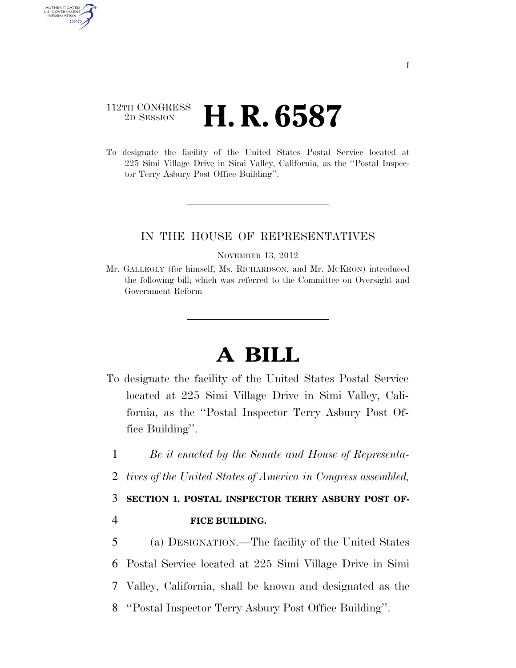## 112TH CONGRESS <sup>2D SESSION</sup> **H. R. 6587**

AUTHENTICATED U.S. GOVERNMENT **GPO** 

> To designate the facility of the United States Postal Service located at 225 Simi Village Drive in Simi Valley, California, as the ''Postal Inspector Terry Asbury Post Office Building''.

#### IN THE HOUSE OF REPRESENTATIVES

#### NOVEMBER 13, 2012

Mr. GALLEGLY (for himself, Ms. RICHARDSON, and Mr. MCKEON) introduced the following bill; which was referred to the Committee on Oversight and Government Reform

# **A BILL**

- To designate the facility of the United States Postal Service located at 225 Simi Village Drive in Simi Valley, California, as the ''Postal Inspector Terry Asbury Post Office Building''.
- 1 *Be it enacted by the Senate and House of Representa-*
- 2 *tives of the United States of America in Congress assembled,*

## 3 **SECTION 1. POSTAL INSPECTOR TERRY ASBURY POST OF-**

### 4 **FICE BUILDING.**

 (a) DESIGNATION.—The facility of the United States Postal Service located at 225 Simi Village Drive in Simi Valley, California, shall be known and designated as the ''Postal Inspector Terry Asbury Post Office Building''.